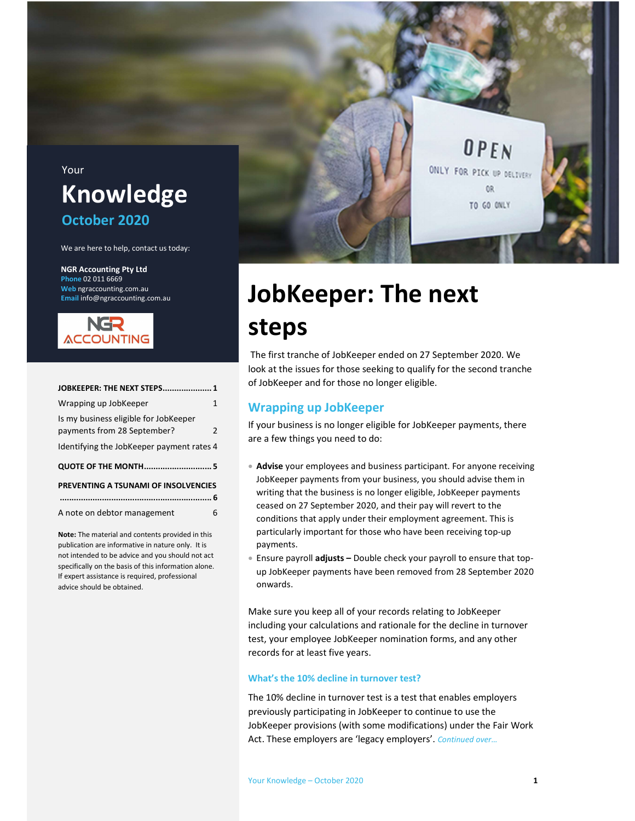

# JobKeeper: The next

### steps

JOBKEEPER: THE NEXT STEPS ..................... 1 Wrapping up JobKeeper 1 Is my business eligible for JobKeeper payments from 28 September? 2 Identifying the JobKeeper payment rates 4 QUOTE OF THE MONTH ............................. 5 PREVENTING A TSUNAMI OF INSOLVENCIES ................................................................. 6 A note on debtor management 6

Phone 02 011 6669 Web ngraccounting.com.au Email info@ngraccounting.com.au

NGR **ACCOUNTING** 

Note: The material and contents provided in this publication are informative in nature only. It is not intended to be advice and you should not act specifically on the basis of this information alone. If expert assistance is required, professional

advice should be obtained.

 The first tranche of JobKeeper ended on 27 September 2020. We look at the issues for those seeking to qualify for the second tranche of JobKeeper and for those no longer eligible.

#### Wrapping up JobKeeper

If your business is no longer eligible for JobKeeper payments, there are a few things you need to do:

- Advise your employees and business participant. For anyone receiving JobKeeper payments from your business, you should advise them in writing that the business is no longer eligible, JobKeeper payments ceased on 27 September 2020, and their pay will revert to the conditions that apply under their employment agreement. This is particularly important for those who have been receiving top-up payments.
- **Ensure payroll adjusts Double check your payroll to ensure that top**up JobKeeper payments have been removed from 28 September 2020 onwards.

Make sure you keep all of your records relating to JobKeeper including your calculations and rationale for the decline in turnover test, your employee JobKeeper nomination forms, and any other records for at least five years.

#### What's the 10% decline in turnover test?

The 10% decline in turnover test is a test that enables employers previously participating in JobKeeper to continue to use the JobKeeper provisions (with some modifications) under the Fair Work Act. These employers are 'legacy employers'. Continued over...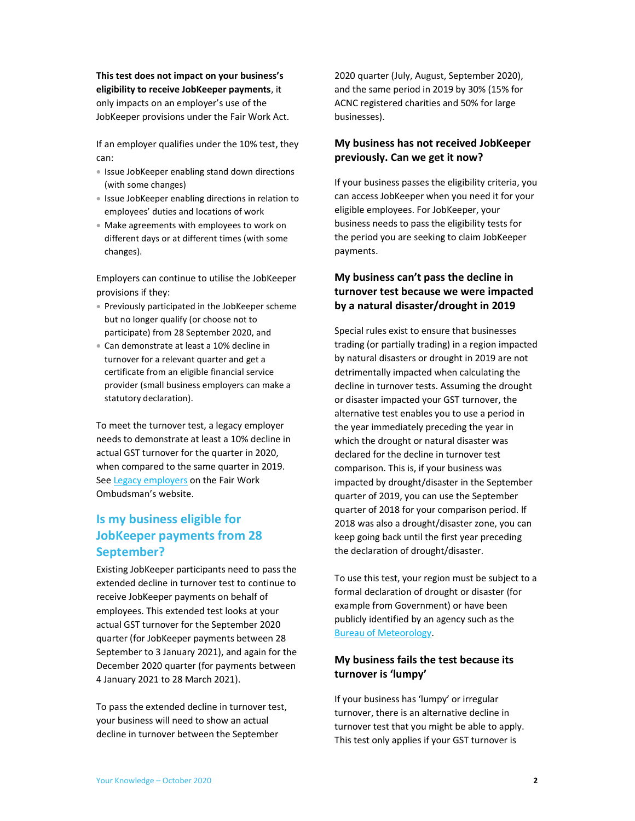This test does not impact on your business's eligibility to receive JobKeeper payments, it only impacts on an employer's use of the JobKeeper provisions under the Fair Work Act.

If an employer qualifies under the 10% test, they can:

- **Issue JobKeeper enabling stand down directions** (with some changes)
- **Issue JobKeeper enabling directions in relation to** employees' duties and locations of work
- Make agreements with employees to work on different days or at different times (with some changes).

Employers can continue to utilise the JobKeeper provisions if they:

- Previously participated in the JobKeeper scheme but no longer qualify (or choose not to participate) from 28 September 2020, and
- Can demonstrate at least a 10% decline in turnover for a relevant quarter and get a certificate from an eligible financial service provider (small business employers can make a statutory declaration).

To meet the turnover test, a legacy employer needs to demonstrate at least a 10% decline in actual GST turnover for the quarter in 2020, when compared to the same quarter in 2019. See Legacy employers on the Fair Work Ombudsman's website.

### Is my business eligible for JobKeeper payments from 28 September?

Existing JobKeeper participants need to pass the extended decline in turnover test to continue to receive JobKeeper payments on behalf of employees. This extended test looks at your actual GST turnover for the September 2020 quarter (for JobKeeper payments between 28 September to 3 January 2021), and again for the December 2020 quarter (for payments between 4 January 2021 to 28 March 2021).

To pass the extended decline in turnover test, your business will need to show an actual decline in turnover between the September

2020 quarter (July, August, September 2020), and the same period in 2019 by 30% (15% for ACNC registered charities and 50% for large businesses).

#### My business has not received JobKeeper previously. Can we get it now?

If your business passes the eligibility criteria, you can access JobKeeper when you need it for your eligible employees. For JobKeeper, your business needs to pass the eligibility tests for the period you are seeking to claim JobKeeper payments.

#### My business can't pass the decline in turnover test because we were impacted by a natural disaster/drought in 2019

Special rules exist to ensure that businesses trading (or partially trading) in a region impacted by natural disasters or drought in 2019 are not detrimentally impacted when calculating the decline in turnover tests. Assuming the drought or disaster impacted your GST turnover, the alternative test enables you to use a period in the year immediately preceding the year in which the drought or natural disaster was declared for the decline in turnover test comparison. This is, if your business was impacted by drought/disaster in the September quarter of 2019, you can use the September quarter of 2018 for your comparison period. If 2018 was also a drought/disaster zone, you can keep going back until the first year preceding the declaration of drought/disaster.

To use this test, your region must be subject to a formal declaration of drought or disaster (for example from Government) or have been publicly identified by an agency such as the Bureau of Meteorology.

#### My business fails the test because its turnover is 'lumpy'

If your business has 'lumpy' or irregular turnover, there is an alternative decline in turnover test that you might be able to apply. This test only applies if your GST turnover is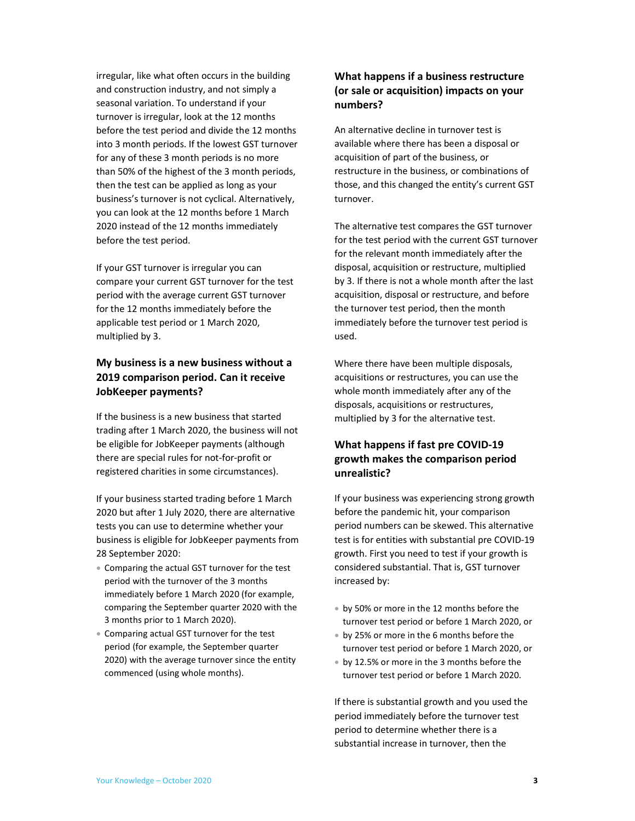irregular, like what often occurs in the building and construction industry, and not simply a seasonal variation. To understand if your turnover is irregular, look at the 12 months before the test period and divide the 12 months into 3 month periods. If the lowest GST turnover for any of these 3 month periods is no more than 50% of the highest of the 3 month periods, then the test can be applied as long as your business's turnover is not cyclical. Alternatively, you can look at the 12 months before 1 March 2020 instead of the 12 months immediately before the test period.

If your GST turnover is irregular you can compare your current GST turnover for the test period with the average current GST turnover for the 12 months immediately before the applicable test period or 1 March 2020, multiplied by 3.

#### My business is a new business without a 2019 comparison period. Can it receive JobKeeper payments?

If the business is a new business that started trading after 1 March 2020, the business will not be eligible for JobKeeper payments (although there are special rules for not-for-profit or registered charities in some circumstances).

If your business started trading before 1 March 2020 but after 1 July 2020, there are alternative tests you can use to determine whether your business is eligible for JobKeeper payments from 28 September 2020:

- Comparing the actual GST turnover for the test period with the turnover of the 3 months immediately before 1 March 2020 (for example, comparing the September quarter 2020 with the 3 months prior to 1 March 2020).
- Comparing actual GST turnover for the test period (for example, the September quarter 2020) with the average turnover since the entity commenced (using whole months).

#### What happens if a business restructure (or sale or acquisition) impacts on your numbers?

An alternative decline in turnover test is available where there has been a disposal or acquisition of part of the business, or restructure in the business, or combinations of those, and this changed the entity's current GST turnover.

The alternative test compares the GST turnover for the test period with the current GST turnover for the relevant month immediately after the disposal, acquisition or restructure, multiplied by 3. If there is not a whole month after the last acquisition, disposal or restructure, and before the turnover test period, then the month immediately before the turnover test period is used.

Where there have been multiple disposals, acquisitions or restructures, you can use the whole month immediately after any of the disposals, acquisitions or restructures, multiplied by 3 for the alternative test.

#### What happens if fast pre COVID-19 growth makes the comparison period unrealistic?

If your business was experiencing strong growth before the pandemic hit, your comparison period numbers can be skewed. This alternative test is for entities with substantial pre COVID-19 growth. First you need to test if your growth is considered substantial. That is, GST turnover increased by:

- by 50% or more in the 12 months before the turnover test period or before 1 March 2020, or
- by 25% or more in the 6 months before the turnover test period or before 1 March 2020, or
- by 12.5% or more in the 3 months before the turnover test period or before 1 March 2020.

If there is substantial growth and you used the period immediately before the turnover test period to determine whether there is a substantial increase in turnover, then the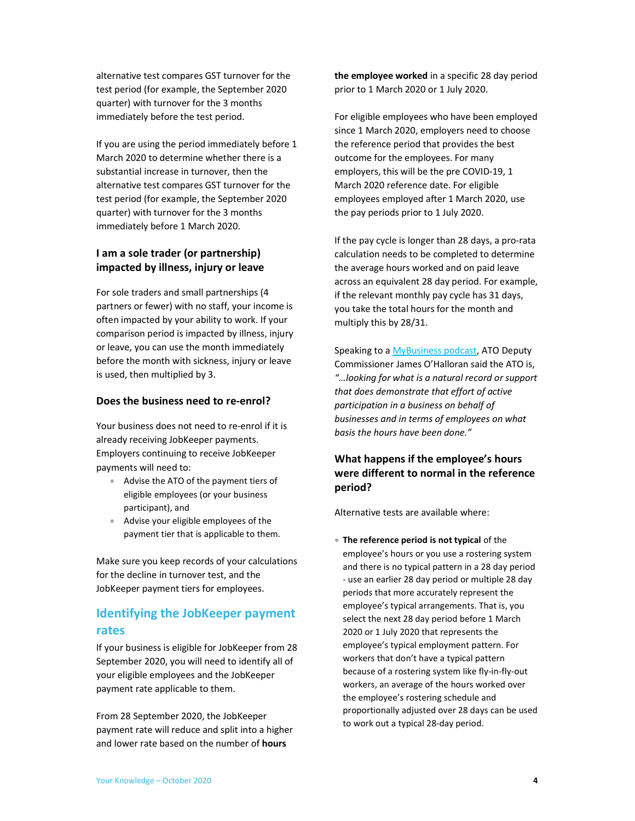alternative test compares GST turnover for the test period (for example, the September 2020 quarter) with turnover for the 3 months immediately before the test period.

If you are using the period immediately before 1 March 2020 to determine whether there is a substantial increase in turnover, then the alternative test compares GST turnover for the test period (for example, the September 2020 quarter) with turnover for the 3 months immediately before 1 March 2020.

#### I am a sole trader (or partnership) impacted by illness, injury or leave

For sole traders and small partnerships (4 partners or fewer) with no staff, your income is often impacted by your ability to work. If your comparison period is impacted by illness, injury or leave, you can use the month immediately before the month with sickness, injury or leave is used, then multiplied by 3.

#### Does the business need to re-enrol?

Your business does not need to re-enrol if it is already receiving JobKeeper payments. Employers continuing to receive JobKeeper payments will need to:

- Advise the ATO of the payment tiers of eligible employees (or your business participant), and
- Advise your eligible employees of the payment tier that is applicable to them.

Make sure you keep records of your calculations for the decline in turnover test, and the JobKeeper payment tiers for employees.

#### Identifying the JobKeeper payment rates

If your business is eligible for JobKeeper from 28 September 2020, you will need to identify all of your eligible employees and the JobKeeper payment rate applicable to them.

From 28 September 2020, the JobKeeper payment rate will reduce and split into a higher and lower rate based on the number of **hours** 

the employee worked in a specific 28 day period prior to 1 March 2020 or 1 July 2020.

For eligible employees who have been employed since 1 March 2020, employers need to choose the reference period that provides the best outcome for the employees. For many employers, this will be the pre COVID-19, 1 March 2020 reference date. For eligible employees employed after 1 March 2020, use the pay periods prior to 1 July 2020.

If the pay cycle is longer than 28 days, a pro-rata calculation needs to be completed to determine the average hours worked and on paid leave across an equivalent 28 day period. For example, if the relevant monthly pay cycle has 31 days, you take the total hours for the month and multiply this by 28/31.

Speaking to a MyBusiness podcast, ATO Deputy Commissioner James O'Halloran said the ATO is, "…looking for what is a natural record or support that does demonstrate that effort of active participation in a business on behalf of businesses and in terms of employees on what basis the hours have been done."

#### What happens if the employee's hours were different to normal in the reference period?

Alternative tests are available where:

• The reference period is not typical of the employee's hours or you use a rostering system and there is no typical pattern in a 28 day period - use an earlier 28 day period or multiple 28 day periods that more accurately represent the employee's typical arrangements. That is, you select the next 28 day period before 1 March 2020 or 1 July 2020 that represents the employee's typical employment pattern. For workers that don't have a typical pattern because of a rostering system like fly-in-fly-out workers, an average of the hours worked over the employee's rostering schedule and proportionally adjusted over 28 days can be used to work out a typical 28-day period.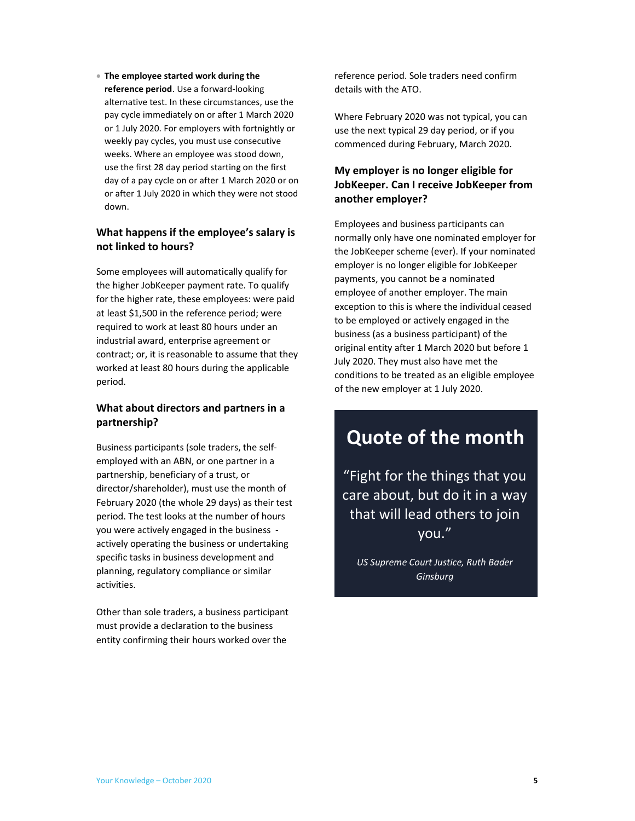#### The employee started work during the

reference period. Use a forward-looking alternative test. In these circumstances, use the pay cycle immediately on or after 1 March 2020 or 1 July 2020. For employers with fortnightly or weekly pay cycles, you must use consecutive weeks. Where an employee was stood down, use the first 28 day period starting on the first day of a pay cycle on or after 1 March 2020 or on or after 1 July 2020 in which they were not stood down.

#### What happens if the employee's salary is not linked to hours?

Some employees will automatically qualify for the higher JobKeeper payment rate. To qualify for the higher rate, these employees: were paid at least \$1,500 in the reference period; were required to work at least 80 hours under an industrial award, enterprise agreement or contract; or, it is reasonable to assume that they worked at least 80 hours during the applicable period.

#### What about directors and partners in a partnership?

Business participants (sole traders, the selfemployed with an ABN, or one partner in a partnership, beneficiary of a trust, or director/shareholder), must use the month of February 2020 (the whole 29 days) as their test period. The test looks at the number of hours you were actively engaged in the business actively operating the business or undertaking specific tasks in business development and planning, regulatory compliance or similar activities.

Other than sole traders, a business participant must provide a declaration to the business entity confirming their hours worked over the

reference period. Sole traders need confirm details with the ATO.

Where February 2020 was not typical, you can use the next typical 29 day period, or if you commenced during February, March 2020.

#### My employer is no longer eligible for JobKeeper. Can I receive JobKeeper from another employer?

Employees and business participants can normally only have one nominated employer for the JobKeeper scheme (ever). If your nominated employer is no longer eligible for JobKeeper payments, you cannot be a nominated employee of another employer. The main exception to this is where the individual ceased to be employed or actively engaged in the business (as a business participant) of the original entity after 1 March 2020 but before 1 July 2020. They must also have met the conditions to be treated as an eligible employee of the new employer at 1 July 2020.

### Quote of the month

"Fight for the things that you care about, but do it in a way that will lead others to join you."

US Supreme Court Justice, Ruth Bader **Ginsburg**